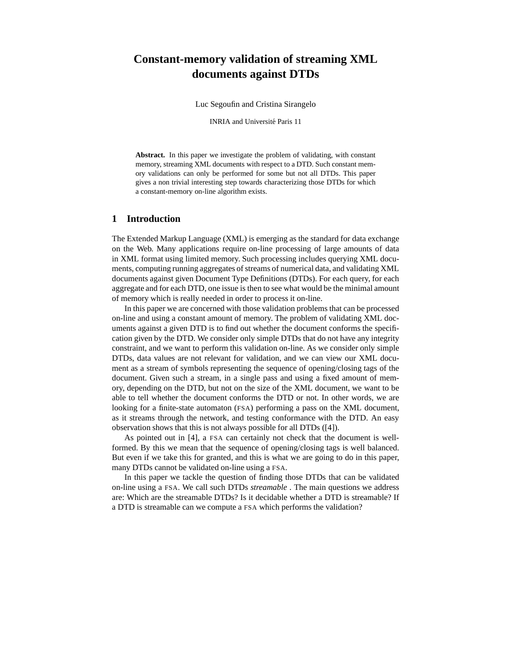# **Constant-memory validation of streaming XML documents against DTDs**

Luc Segoufin and Cristina Sirangelo

INRIA and Universite´ Paris 11

**Abstract.** In this paper we investigate the problem of validating, with constant memory, streaming XML documents with respect to a DTD. Such constant memory validations can only be performed for some but not all DTDs. This paper gives a non trivial interesting step towards characterizing those DTDs for which a constant-memory on-line algorithm exists.

## **1 Introduction**

The Extended Markup Language (XML) is emerging as the standard for data exchange on the Web. Many applications require on-line processing of large amounts of data in XML format using limited memory. Such processing includes querying XML documents, computing running aggregates of streams of numerical data, and validating XML documents against given Document Type Definitions (DTDs). For each query, for each aggregate and for each DTD, one issue is then to see what would be the minimal amount of memory which is really needed in order to process it on-line.

In this paper we are concerned with those validation problems that can be processed on-line and using a constant amount of memory. The problem of validating XML documents against a given DTD is to find out whether the document conforms the specification given by the DTD. We consider only simple DTDs that do not have any integrity constraint, and we want to perform this validation on-line. As we consider only simple DTDs, data values are not relevant for validation, and we can view our XML document as a stream of symbols representing the sequence of opening/closing tags of the document. Given such a stream, in a single pass and using a fixed amount of memory, depending on the DTD, but not on the size of the XML document, we want to be able to tell whether the document conforms the DTD or not. In other words, we are looking for a finite-state automaton (FSA) performing a pass on the XML document, as it streams through the network, and testing conformance with the DTD. An easy observation shows that this is not always possible for all DTDs ([4]).

As pointed out in [4], a FSA can certainly not check that the document is wellformed. By this we mean that the sequence of opening/closing tags is well balanced. But even if we take this for granted, and this is what we are going to do in this paper, many DTDs cannot be validated on-line using a FSA.

In this paper we tackle the question of finding those DTDs that can be validated on-line using a FSA. We call such DTDs *streamable* . The main questions we address are: Which are the streamable DTDs? Is it decidable whether a DTD is streamable? If a DTD is streamable can we compute a FSA which performs the validation?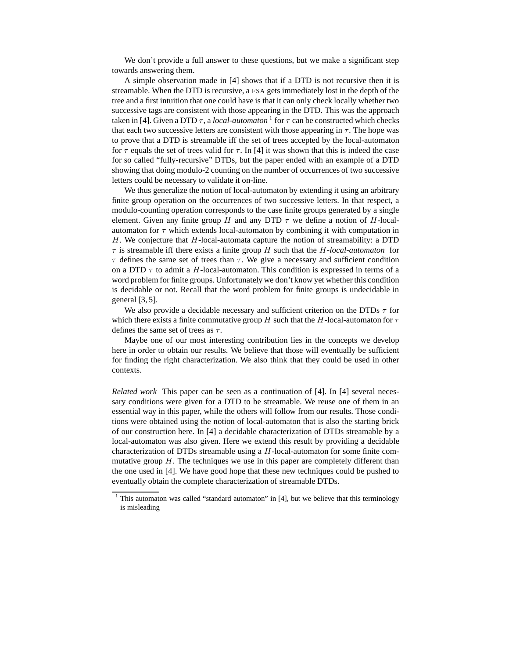We don't provide a full answer to these questions, but we make a significant step towards answering them.

A simple observation made in [4] shows that if a DTD is not recursive then it is streamable. When the DTD is recursive, a FSA gets immediately lost in the depth of the tree and a first intuition that one could have is that it can only check locally whether two successive tags are consistent with those appearing in the DTD. This was the approach taken in [4]. Given a DTD  $\tau$ , a *local-automaton* <sup>1</sup> for  $\tau$  can be constructed which checks that each two successive letters are consistent with those appearing in  $\tau$ . The hope was to prove that a DTD is streamable iff the set of trees accepted by the local-automaton for  $\tau$  equals the set of trees valid for  $\tau$ . In [4] it was shown that this is indeed the case for so called "fully-recursive" DTDs, but the paper ended with an example of a DTD showing that doing modulo-2 counting on the number of occurrences of two successive letters could be necessary to validate it on-line.

We thus generalize the notion of local-automaton by extending it using an arbitrary finite group operation on the occurrences of two successive letters. In that respect, a modulo-counting operation corresponds to the case finite groups generated by a single element. Given any finite group H and any DTD  $\tau$  we define a notion of H-localautomaton for  $\tau$  which extends local-automaton by combining it with computation in H. We conjecture that H-local-automata capture the notion of streamability: a DTD  $\tau$  is streamable iff there exists a finite group H such that the H-local-automaton for  $\tau$  defines the same set of trees than  $\tau$ . We give a necessary and sufficient condition on a DTD  $\tau$  to admit a H-local-automaton. This condition is expressed in terms of a word problem for finite groups. Unfortunately we don't know yet whether this condition is decidable or not. Recall that the word problem for finite groups is undecidable in general [3, 5].

We also provide a decidable necessary and sufficient criterion on the DTDs  $\tau$  for which there exists a finite commutative group H such that the H-local-automaton for  $\tau$ defines the same set of trees as  $\tau$ .

Maybe one of our most interesting contribution lies in the concepts we develop here in order to obtain our results. We believe that those will eventually be sufficient for finding the right characterization. We also think that they could be used in other contexts.

*Related work* This paper can be seen as a continuation of [4]. In [4] several necessary conditions were given for a DTD to be streamable. We reuse one of them in an essential way in this paper, while the others will follow from our results. Those conditions were obtained using the notion of local-automaton that is also the starting brick of our construction here. In [4] a decidable characterization of DTDs streamable by a local-automaton was also given. Here we extend this result by providing a decidable characterization of DTDs streamable using a H-local-automaton for some finite commutative group  $H$ . The techniques we use in this paper are completely different than the one used in [4]. We have good hope that these new techniques could be pushed to eventually obtain the complete characterization of streamable DTDs.

 $1$  This automaton was called "standard automaton" in [4], but we believe that this terminology is misleading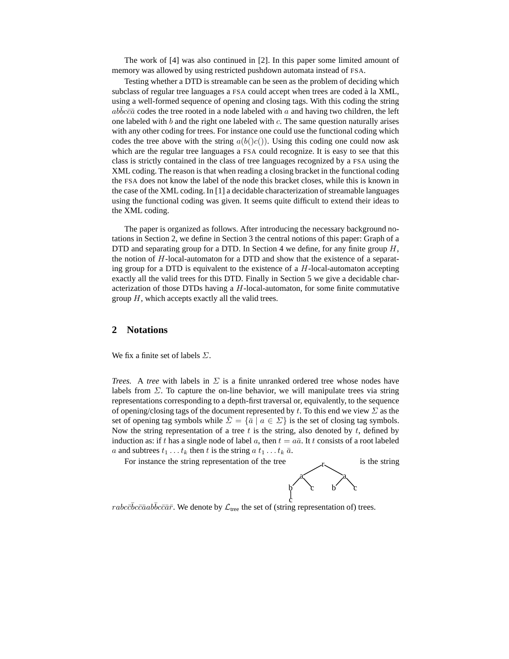The work of [4] was also continued in [2]. In this paper some limited amount of memory was allowed by using restricted pushdown automata instead of FSA.

Testing whether a DTD is streamable can be seen as the problem of deciding which subclass of regular tree languages a FSA could accept when trees are coded à la XML, using a well-formed sequence of opening and closing tags. With this coding the string abbc $\bar{c}\bar{a}$  codes the tree rooted in a node labeled with a and having two children, the left one labeled with  $b$  and the right one labeled with  $c$ . The same question naturally arises with any other coding for trees. For instance one could use the functional coding which codes the tree above with the string  $a(b)(c))$ . Using this coding one could now ask which are the regular tree languages a FSA could recognize. It is easy to see that this class is strictly contained in the class of tree languages recognized by a FSA using the XML coding. The reason is that when reading a closing bracket in the functional coding the FSA does not know the label of the node this bracket closes, while this is known in the case of the XML coding. In [1] a decidable characterization of streamable languages using the functional coding was given. It seems quite difficult to extend their ideas to the XML coding.

The paper is organized as follows. After introducing the necessary background notations in Section 2, we define in Section 3 the central notions of this paper: Graph of a DTD and separating group for a DTD. In Section 4 we define, for any finite group  $H$ , the notion of H-local-automaton for a DTD and show that the existence of a separating group for a DTD is equivalent to the existence of a  $H$ -local-automaton accepting exactly all the valid trees for this DTD. Finally in Section 5 we give a decidable characterization of those DTDs having a  $H$ -local-automaton, for some finite commutative group  $H$ , which accepts exactly all the valid trees.

#### **2 Notations**

We fix a finite set of labels  $\Sigma$ .

*Trees.* A *tree* with labels in  $\Sigma$  is a finite unranked ordered tree whose nodes have labels from  $\Sigma$ . To capture the on-line behavior, we will manipulate trees via string representations corresponding to a depth-first traversal or, equivalently, to the sequence of opening/closing tags of the document represented by t. To this end we view  $\Sigma$  as the set of opening tag symbols while  $\bar{\Sigma} = {\bar{a} \mid a \in \Sigma}$  is the set of closing tag symbols. Now the string representation of a tree  $t$  is the string, also denoted by  $t$ , defined by induction as: if t has a single node of label a, then  $t = a\bar{a}$ . It t consists of a root labeled a and subtrees  $t_1 \ldots t_k$  then t is the string  $a \, t_1 \ldots t_k \, \bar{a}$ .

For instance the string representation of the tree

is the string



rabc $\bar{c}b c \bar{c}a a b \bar{b} c \bar{c} \bar{a} \bar{r}$ . We denote by  $\mathcal{L}_{\text{tree}}$  the set of (string representation of) trees.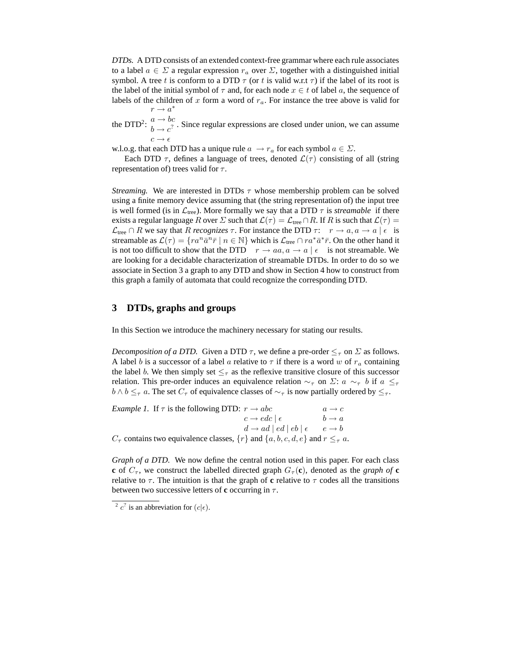*DTDs.* A DTD consists of an extended context-free grammar where each rule associates to a label  $a \in \Sigma$  a regular expression  $r_a$  over  $\Sigma$ , together with a distinguished initial symbol. A tree t is conform to a DTD  $\tau$  (or t is valid w.r.t  $\tau$ ) if the label of its root is the label of the initial symbol of  $\tau$  and, for each node  $x \in t$  of label a, the sequence of labels of the children of x form a word of  $r_a$ . For instance the tree above is valid for  $r \rightarrow a^*$ 

the DTD<sup>2</sup>:  $\frac{a}{l} \rightarrow \frac{bc}{l}$  $b \rightarrow c^2$ . Since regular expressions are closed under union, we can assume  $c \rightarrow \epsilon$ 

w.l.o.g. that each DTD has a unique rule  $a \rightarrow r_a$  for each symbol  $a \in \Sigma$ .

Each DTD  $\tau$ , defines a language of trees, denoted  $\mathcal{L}(\tau)$  consisting of all (string representation of) trees valid for  $\tau$ .

*Streaming.* We are interested in DTDs  $\tau$  whose membership problem can be solved using a finite memory device assuming that (the string representation of) the input tree is well formed (is in  $\mathcal{L}_{\text{tree}}$ ). More formally we say that a DTD  $\tau$  is *streamable* if there exists a regular language R over  $\Sigma$  such that  $\mathcal{L}(\tau) = \mathcal{L}_{\text{tree}} \cap R$ . If R is such that  $\mathcal{L}(\tau) =$  $\mathcal{L}_{\text{tree}} \cap R$  we say that R *recognizes*  $\tau$ . For instance the DTD  $\tau$ :  $r \to a, a \to a \mid \epsilon$  is streamable as  $\mathcal{L}(\tau) = \{ra^n\bar{a}^n\bar{r} \mid n \in \mathbb{N}\}\$  which is  $\mathcal{L}_{\text{tree}} \cap ra^*\bar{a}^*\bar{r}$ . On the other hand it is not too difficult to show that the DTD  $r \to aa, a \to a \mid \epsilon$  is not streamable. We are looking for a decidable characterization of streamable DTDs. In order to do so we associate in Section 3 a graph to any DTD and show in Section 4 how to construct from this graph a family of automata that could recognize the corresponding DTD.

### **3 DTDs, graphs and groups**

In this Section we introduce the machinery necessary for stating our results.

*Decomposition of a DTD.* Given a DTD  $\tau$ , we define a pre-order  $\leq_{\tau}$  on  $\Sigma$  as follows. A label b is a successor of a label a relative to  $\tau$  if there is a word w of  $r_a$  containing the label b. We then simply set  $\leq_{\tau}$  as the reflexive transitive closure of this successor relation. This pre-order induces an equivalence relation  $\sim_{\tau}$  on  $\Sigma: a \sim_{\tau} b$  if  $a \leq_{\tau}$  $b \wedge b \leq_{\tau} a$ . The set  $C_{\tau}$  of equivalence classes of  $\sim_{\tau}$  is now partially ordered by  $\leq_{\tau}$ .

*Example 1.* If  $\tau$  is the following DTD:  $r \to abc$   $a \to c$  $c \to edc \mid \epsilon$   $b \to a$  $d \rightarrow ad \mid ed \mid eb \mid \epsilon \qquad e \rightarrow b$  $C_{\tau}$  contains two equivalence classes,  $\{r\}$  and  $\{a, b, c, d, e\}$  and  $r \leq_{\tau} a$ .

*Graph of a DTD.* We now define the central notion used in this paper. For each class **c** of  $C_{\tau}$ , we construct the labelled directed graph  $G_{\tau}(\mathbf{c})$ , denoted as the *graph* of **c** relative to  $\tau$ . The intuition is that the graph of **c** relative to  $\tau$  codes all the transitions between two successive letters of **c** occurring in  $\tau$ .

<sup>&</sup>lt;sup>2</sup>  $c^2$  is an abbreviation for  $(c|\epsilon)$ .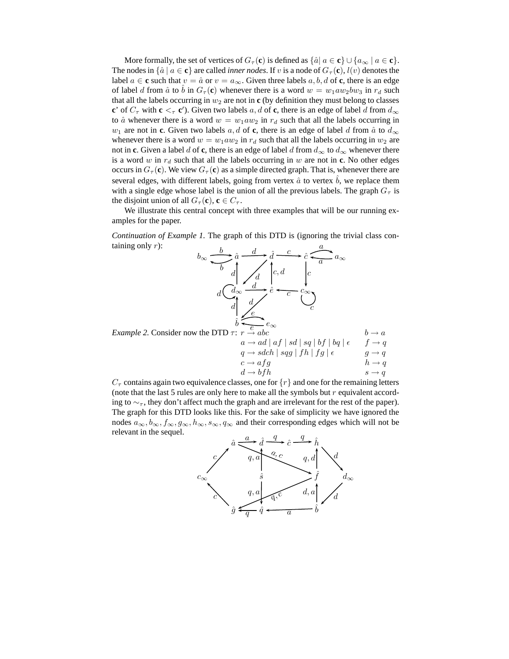More formally, the set of vertices of  $G_\tau(\mathbf{c})$  is defined as  $\{\hat{a} \mid a \in \mathbf{c}\} \cup \{a_\infty \mid a \in \mathbf{c}\}.$ The nodes in  $\{\hat{a} \mid a \in \mathbf{c}\}\$  are called *inner nodes*. If v is a node of  $G_{\tau}(\mathbf{c})$ ,  $l(v)$  denotes the label  $a \in \mathbf{c}$  such that  $v = \hat{a}$  or  $v = a_{\infty}$ . Given three labels a, b, d of **c**, there is an edge of label d from  $\hat{a}$  to  $\hat{b}$  in  $G_{\tau}(\mathbf{c})$  whenever there is a word  $w = w_1 a w_2 b w_3$  in  $r_d$  such that all the labels occurring in  $w_2$  are not in  $\mathbf c$  (by definition they must belong to classes **c**' of  $C_{\tau}$  with  $c <_{\tau} c'$ ). Given two labels a, d of **c**, there is an edge of label d from  $d_{\infty}$ to  $\hat{a}$  whenever there is a word  $w = w_1 a w_2$  in  $r_d$  such that all the labels occurring in  $w_1$  are not in **c**. Given two labels a, d of **c**, there is an edge of label d from  $\hat{a}$  to  $d_{\infty}$ whenever there is a word  $w = w_1 a w_2$  in  $r_d$  such that all the labels occurring in  $w_2$  are not in **c**. Given a label d of **c**, there is an edge of label d from  $d_{\infty}$  to  $d_{\infty}$  whenever there is a word w in  $r_d$  such that all the labels occurring in w are not in **c**. No other edges occurs in  $G_{\tau}({\bf c})$ . We view  $G_{\tau}({\bf c})$  as a simple directed graph. That is, whenever there are several edges, with different labels, going from vertex  $\hat{a}$  to vertex  $\hat{b}$ , we replace them with a single edge whose label is the union of all the previous labels. The graph  $G<sub>\tau</sub>$  is the disjoint union of all  $G_\tau(\mathbf{c})$ ,  $\mathbf{c} \in C_\tau$ .

We illustrate this central concept with three examples that will be our running examples for the paper.

*Continuation of Example 1.* The graph of this DTD is (ignoring the trivial class containing only  $r$ ): a



*Example* 2. Consider now the DTD  $\tau$ :  $r \rightarrow abc$  $a \rightarrow ad \mid af \mid sd \mid sq \mid bf \mid bq \mid \epsilon$  $q \rightarrow s dch | s qg | fh | fg | \epsilon$  $c \to afg$  h  $\to q$  $d \rightarrow b f h$  s  $\rightarrow q$ 

 $C_{\tau}$  contains again two equivalence classes, one for  $\{r\}$  and one for the remaining letters (note that the last 5 rules are only here to make all the symbols but  $r$  equivalent according to  $\sim_{\tau}$ , they don't affect much the graph and are irrelevant for the rest of the paper). The graph for this DTD looks like this. For the sake of simplicity we have ignored the nodes  $a_{\infty}, b_{\infty}, f_{\infty}, g_{\infty}, h_{\infty}, s_{\infty}, q_{\infty}$  and their corresponding edges which will not be relevant in the sequel.

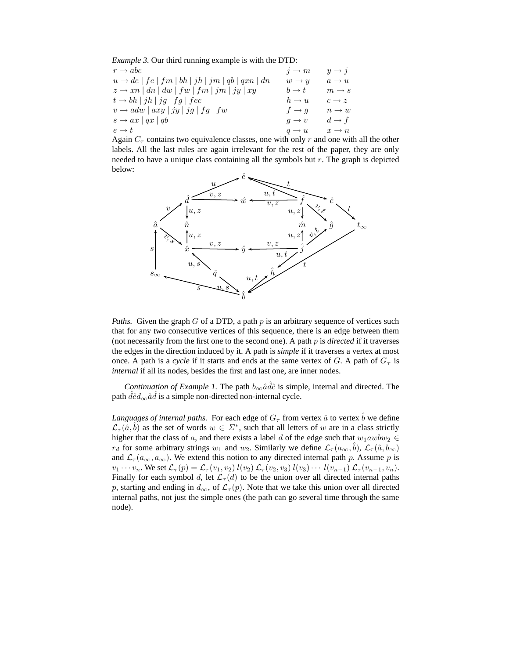| <i>Example 3.</i> Our third running example is with the DTD:                        |                   |                   |
|-------------------------------------------------------------------------------------|-------------------|-------------------|
| $r \rightarrow abc$                                                                 | $i \rightarrow m$ | $y \rightarrow i$ |
| $u \rightarrow de \mid fe \mid fm \mid bh \mid jh \mid jm \mid qb \mid qxn \mid dn$ | $w \rightarrow y$ | $a \rightarrow u$ |
| $z \rightarrow xn \mid dn \mid dw \mid fw \mid fm \mid jm \mid jy \mid xy$          | $b \rightarrow t$ | $m \rightarrow s$ |
| $t \rightarrow bh \mid jh \mid jg \mid fg \mid fec$                                 | $h \rightarrow u$ | $c \rightarrow z$ |
| $v \rightarrow adw \mid axy \mid jy \mid jg \mid fg \mid fw$                        | $f \rightarrow g$ | $n \rightarrow w$ |
| $s \rightarrow ax \mid qx \mid qb$                                                  | $q \rightarrow v$ | $d \rightarrow f$ |
| $e \rightarrow t$                                                                   | $q \rightarrow u$ | $x \rightarrow n$ |

Again  $C_{\tau}$  contains two equivalence classes, one with only r and one with all the other labels. All the last rules are again irrelevant for the rest of the paper, they are only needed to have a unique class containing all the symbols but  $r$ . The graph is depicted below:



*Paths.* Given the graph  $G$  of a DTD, a path  $p$  is an arbitrary sequence of vertices such that for any two consecutive vertices of this sequence, there is an edge between them (not necessarily from the first one to the second one). A path p is *directed* if it traverses the edges in the direction induced by it. A path is *simple* if it traverses a vertex at most once. A path is a *cycle* if it starts and ends at the same vertex of G. A path of  $G<sub>\tau</sub>$  is *internal* if all its nodes, besides the first and last one, are inner nodes.

*Continuation of Example 1.* The path  $b_{\infty} \hat{a} \hat{d} \hat{c}$  is simple, internal and directed. The path  $d\hat{e}d_{\infty}\hat{a}\hat{d}$  is a simple non-directed non-internal cycle.

*Languages of internal paths.* For each edge of  $G_\tau$  from vertex  $\hat a$  to vertex  $\hat b$  we define  $\mathcal{L}_{\tau}(\hat{a}, \hat{b})$  as the set of words  $w \in \Sigma^*$ , such that all letters of w are in a class strictly higher that the class of a, and there exists a label d of the edge such that  $w_1awbw_2 \in$  $r_d$  for some arbitrary strings  $w_1$  and  $w_2$ . Similarly we define  $\mathcal{L}_\tau(a_\infty, \hat{b}), \mathcal{L}_\tau(\hat{a}, b_\infty)$ and  $\mathcal{L}_{\tau}(a_{\infty}, a_{\infty})$ . We extend this notion to any directed internal path p. Assume p is  $v_1 \cdots v_n$ . We set  $\mathcal{L}_{\tau}(p) = \mathcal{L}_{\tau}(v_1, v_2) l(v_2) \mathcal{L}_{\tau}(v_2, v_3) l(v_3) \cdots l(v_{n-1}) \mathcal{L}_{\tau}(v_{n-1}, v_n)$ . Finally for each symbol d, let  $\mathcal{L}_{\tau}(d)$  to be the union over all directed internal paths p, starting and ending in  $d_{\infty}$ , of  $\mathcal{L}_{\tau}(p)$ . Note that we take this union over all directed internal paths, not just the simple ones (the path can go several time through the same node).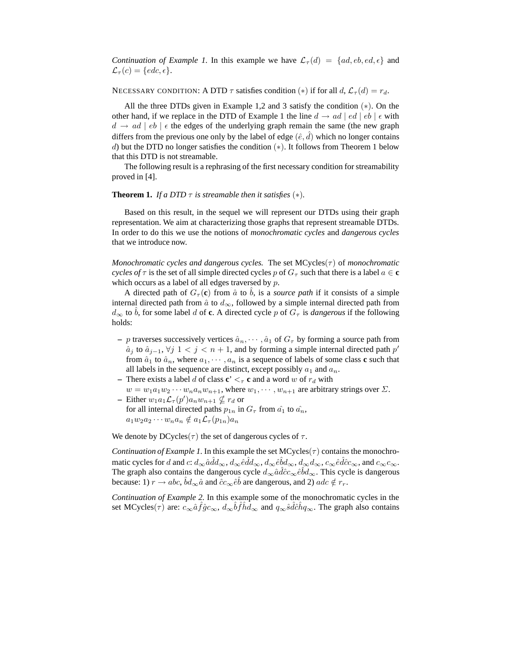*Continuation of Example 1.* In this example we have  $\mathcal{L}_{\tau}(d) = \{ad, eb, ed, \epsilon\}$  and  $\mathcal{L}_{\tau}(c) = \{ edc, \epsilon \}.$ 

NECESSARY CONDITION: A DTD  $\tau$  satisfies condition (\*) if for all d,  $\mathcal{L}_{\tau}(d) = r_d$ .

All the three DTDs given in Example 1,2 and 3 satisfy the condition (∗). On the other hand, if we replace in the DTD of Example 1 the line  $d \to ad \mid ed \mid eb \mid \epsilon$  with  $d \rightarrow ad \mid eb \mid \epsilon$  the edges of the underlying graph remain the same (the new graph differs from the previous one only by the label of edge  $(\hat{e}, \hat{d})$  which no longer contains d) but the DTD no longer satisfies the condition (∗). It follows from Theorem 1 below that this DTD is not streamable.

The following result is a rephrasing of the first necessary condition for streamability proved in [4].

#### **Theorem 1.** *If a DTD*  $\tau$  *is streamable then it satisfies*  $(*)$ *.*

Based on this result, in the sequel we will represent our DTDs using their graph representation. We aim at characterizing those graphs that represent streamable DTDs. In order to do this we use the notions of *monochromatic cycles* and *dangerous cycles* that we introduce now.

*Monochromatic cycles and dangerous cycles.* The set  $MCycles(\tau)$  of *monochromatic cycles of*  $\tau$  is the set of all simple directed cycles p of  $G_{\tau}$  such that there is a label  $a \in \mathbf{c}$ which occurs as a label of all edges traversed by p.

A directed path of  $G_\tau(\mathbf{c})$  from  $\hat{a}$  to  $\hat{b}$ , is a *source path* if it consists of a simple internal directed path from  $\hat{a}$  to  $d_{\infty}$ , followed by a simple internal directed path from  $d_{\infty}$  to *b*, for some label d of **c**. A directed cycle p of  $G_{\tau}$  is *dangerous* if the following holds:

- $-p$  traverses successively vertices  $\hat{a}_n, \dots, \hat{a}_1$  of  $G_\tau$  by forming a source path from  $\hat{a}_j$  to  $\hat{a}_{j-1}$ ,  $\forall j \, 1 < j < n+1$ , and by forming a simple internal directed path  $p'$ from  $\hat{a}_1$  to  $\hat{a}_n$ , where  $a_1, \dots, a_n$  is a sequence of labels of some class **c** such that all labels in the sequence are distinct, except possibly  $a_1$  and  $a_n$ .
- **–** There exists a label d of class  $\mathbf{c}' <_{\tau} \mathbf{c}$  and a word w of  $r_d$  with  $w = w_1 a_1 w_2 \cdots w_n a_n w_{n+1}$ , where  $w_1, \cdots, w_{n+1}$  are arbitrary strings over  $\Sigma$ .
- $\overline{\phantom{a}}$  = Either  $w_1 a_1 \mathcal{L}_{\tau}(p') a_n w_{n+1} \nsubseteq r_d$  or for all internal directed paths  $p_{1n}$  in  $G_{\tau}$  from  $\hat{a_1}$  to  $\hat{a_n}$ ,  $a_1w_2a_2\cdots w_na_n\notin a_1\mathcal{L}_\tau(p_{1n})a_n$

We denote by  $DCycles(\tau)$  the set of dangerous cycles of  $\tau$ .

*Continuation of Example 1.* In this example the set  $MCycles(\tau)$  contains the monochromatic cycles for d and  $c: d_{\infty} \hat{a} \hat{d} d_{\infty}$ ,  $d_{\infty} \hat{e} \hat{d} d_{\infty}$ ,  $d_{\infty} \hat{e} \hat{b} d_{\infty}$ ,  $d_{\infty} d_{\infty}$ ,  $c_{\infty} \hat{e} \hat{d} \hat{c} c_{\infty}$ , and  $c_{\infty} c_{\infty}$ . The graph also contains the dangerous cycle  $d_{\infty} \hat{a} \hat{d} \hat{c} c_{\infty} \hat{e} \hat{b} d_{\infty}$ . This cycle is dangerous because: 1)  $r \to abc$ ,  $\hat{b}d_{\infty}\hat{a}$  and  $\hat{c}c_{\infty}\hat{e}\hat{b}$  are dangerous, and 2)  $adc \notin r_r$ .

*Continuation of Example 2.* In this example some of the monochromatic cycles in the set MCycles( $\tau$ ) are:  $c_{\infty} \hat{a} \hat{f} \hat{g} c_{\infty}$ ,  $d_{\infty} \hat{b} \hat{f} \hat{h} \hat{d}_{\infty}$  and  $q_{\infty} \hat{s} \hat{d} \hat{c} \hat{h} q_{\infty}$ . The graph also contains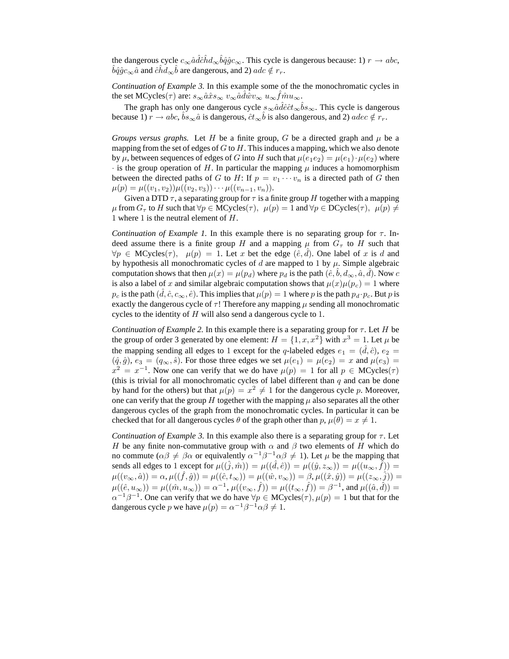the dangerous cycle  $c_{\infty} \hat{a} \hat{d} \hat{c} \hat{h} d_{\infty} \hat{b} \hat{q} \hat{g} c_{\infty}$ . This cycle is dangerous because: 1)  $r \to abc$ ,  $\hat{b} \hat{q} \hat{g} c_{\infty} \hat{a}$  and  $\hat{c} \hat{h} d_{\infty} \hat{b}$  are dangerous, and 2)  $adc \notin r_r$ .

*Continuation of Example 3.* In this example some of the the monochromatic cycles in the set MCycles( $\tau$ ) are:  $s_{\infty} \hat{a} \hat{x} s_{\infty} v_{\infty} \hat{a} \hat{d} \hat{w} v_{\infty} u_{\infty} \hat{f} \hat{m} u_{\infty}$ .

The graph has only one dangerous cycle  $s_{\infty} \hat{a} d\hat{e} \hat{c} t_{\infty} \hat{b} s_{\infty}$ . This cycle is dangerous because 1)  $r \to abc$ ,  $\hat{b}s_{\infty}\hat{a}$  is dangerous,  $\hat{c}t_{\infty}\hat{b}$  is also dangerous, and 2) adec  $\notin r_r$ .

*Groups* versus graphs. Let H be a finite group, G be a directed graph and  $\mu$  be a mapping from the set of edges of  $G$  to  $H$ . This induces a mapping, which we also denote by  $\mu$ , between sequences of edges of G into H such that  $\mu(e_1e_2) = \mu(e_1) \cdot \mu(e_2)$  where  $\cdot$  is the group operation of H. In particular the mapping  $\mu$  induces a homomorphism between the directed paths of G to H: If  $p = v_1 \cdots v_n$  is a directed path of G then  $\mu(p) = \mu((v_1, v_2))\mu((v_2, v_3))\cdots\mu((v_{n-1}, v_n)).$ 

Given a DTD  $\tau$ , a separating group for  $\tau$  is a finite group H together with a mapping  $\mu$  from  $G_{\tau}$  to H such that  $\forall p \in \text{MCycles}(\tau)$ ,  $\mu(p) = 1$  and  $\forall p \in \text{DCycles}(\tau)$ ,  $\mu(p) \neq$ 1 where 1 is the neutral element of H.

*Continuation of Example 1.* In this example there is no separating group for  $\tau$ . Indeed assume there is a finite group H and a mapping  $\mu$  from  $G_{\tau}$  to H such that  $\forall p \in \text{MCycles}(\tau)$ ,  $\mu(p) = 1$ . Let x bet the edge  $(\hat{e}, \hat{d})$ . One label of x is d and by hypothesis all monochromatic cycles of  $d$  are mapped to 1 by  $\mu$ . Simple algebraic computation shows that then  $\mu(x) = \mu(p_d)$  where  $p_d$  is the path  $(\hat{e}, \hat{b}, d_{\infty}, \hat{a}, \hat{d})$ . Now c is also a label of x and similar algebraic computation shows that  $\mu(x)\mu(p_c) = 1$  where  $p_c$  is the path  $(\hat{d}, \hat{c}, c_\infty, \hat{e})$ . This implies that  $\mu(p) = 1$  where p is the path  $p_d \cdot p_c$ . But p is exactly the dangerous cycle of  $\tau$ ! Therefore any mapping  $\mu$  sending all monochromatic cycles to the identity of  $H$  will also send a dangerous cycle to 1.

*Continuation of Example 2.* In this example there is a separating group for  $\tau$ . Let H be the group of order 3 generated by one element:  $H = \{1, x, x^2\}$  with  $x^3 = 1$ . Let  $\mu$  be the mapping sending all edges to 1 except for the *q*-labeled edges  $e_1 = (\hat{d}, \hat{c})$ ,  $e_2 =$  $(\hat{q}, \hat{g})$ ,  $e_3 = (q_\infty, \hat{s})$ . For those three edges we set  $\mu(e_1) = \mu(e_2) = x$  and  $\mu(e_3) = x$  $x^2 = x^{-1}$ . Now one can verify that we do have  $\mu(p) = 1$  for all  $p \in \text{MCycles}(\tau)$ (this is trivial for all monochromatic cycles of label different than  $q$  and can be done by hand for the others) but that  $\mu(p) = x^2 \neq 1$  for the dangerous cycle p. Moreover, one can verify that the group  $H$  together with the mapping  $\mu$  also separates all the other dangerous cycles of the graph from the monochromatic cycles. In particular it can be checked that for all dangerous cycles  $\theta$  of the graph other than p,  $\mu(\theta) = x \neq 1$ .

*Continuation of Example 3.* In this example also there is a separating group for  $\tau$ . Let H be any finite non-commutative group with  $\alpha$  and  $\beta$  two elements of H which do no commute ( $\alpha\beta \neq \beta\alpha$  or equivalently  $\alpha^{-1}\beta^{-1}\alpha\beta \neq 1$ ). Let  $\mu$  be the mapping that sends all edges to 1 except for  $\mu((\hat{j}, \hat{m})) = \mu((\hat{d}, \hat{e})) = \mu((\hat{y}, z_{\infty})) = \mu((u_{\infty}, \hat{f})) =$  $\mu((v_{\infty}, \hat{a})) = \alpha, \mu((\hat{f}, \hat{g})) = \mu((\hat{c}, t_{\infty})) = \mu((\hat{w}, v_{\infty})) = \beta, \mu((\hat{x}, \hat{y})) = \mu((z_{\infty}, \hat{j})) =$  $\mu((\hat{e}, u_{\infty})) = \mu((\hat{m}, u_{\infty})) = \alpha^{-1}, \mu((v_{\infty}, \hat{f})) = \mu((t_{\infty}, \hat{f})) = \beta^{-1}$ , and  $\mu((\hat{a}, \hat{d})) =$  $\alpha^{-1}\beta^{-1}$ . One can verify that we do have  $\forall p \in \text{MCycles}(\tau)$ ,  $\mu(p) = 1$  but that for the dangerous cycle p we have  $\mu(p) = \alpha^{-1} \beta^{-1} \alpha \beta \neq 1$ .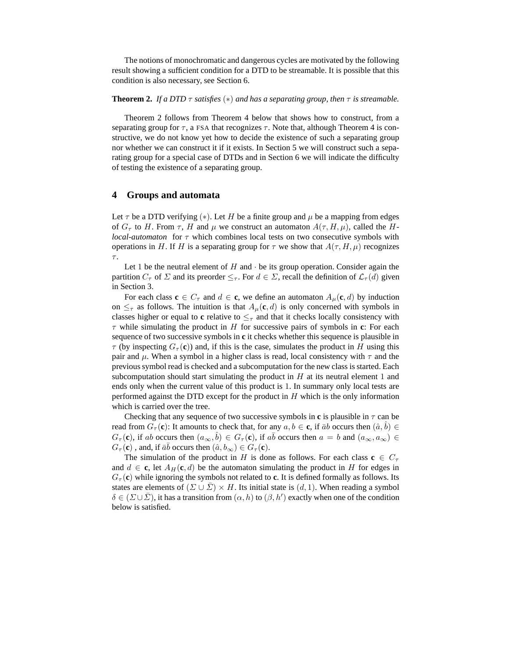The notions of monochromatic and dangerous cycles are motivated by the following result showing a sufficient condition for a DTD to be streamable. It is possible that this condition is also necessary, see Section 6.

#### **Theorem 2.** *If*  $a$  *DTD*  $\tau$  *satisfies* (\*) *and has*  $a$  *separating group, then*  $\tau$  *is streamable.*

Theorem 2 follows from Theorem 4 below that shows how to construct, from a separating group for  $\tau$ , a FSA that recognizes  $\tau$ . Note that, although Theorem 4 is constructive, we do not know yet how to decide the existence of such a separating group nor whether we can construct it if it exists. In Section 5 we will construct such a separating group for a special case of DTDs and in Section 6 we will indicate the difficulty of testing the existence of a separating group.

#### **4 Groups and automata**

Let  $\tau$  be a DTD verifying (\*). Let H be a finite group and  $\mu$  be a mapping from edges of  $G_{\tau}$  to H. From  $\tau$ , H and  $\mu$  we construct an automaton  $A(\tau, H, \mu)$ , called the H*local-automaton* for  $\tau$  which combines local tests on two consecutive symbols with operations in H. If H is a separating group for  $\tau$  we show that  $A(\tau, H, \mu)$  recognizes τ .

Let 1 be the neutral element of  $H$  and  $\cdot$  be its group operation. Consider again the partition  $C_{\tau}$  of  $\Sigma$  and its preorder  $\leq_{\tau}$ . For  $d \in \Sigma$ , recall the definition of  $\mathcal{L}_{\tau}(d)$  given in Section 3.

For each class  $\mathbf{c} \in C_{\tau}$  and  $d \in \mathbf{c}$ , we define an automaton  $A_{\mu}(\mathbf{c}, d)$  by induction on  $\leq_{\tau}$  as follows. The intuition is that  $A_{\mu}(\mathbf{c}, d)$  is only concerned with symbols in classes higher or equal to **c** relative to  $\leq_{\tau}$  and that it checks locally consistency with  $\tau$  while simulating the product in H for successive pairs of symbols in **c**: For each sequence of two successive symbols in **c** it checks whether this sequence is plausible in  $\tau$  (by inspecting  $G_{\tau}(\mathbf{c})$ ) and, if this is the case, simulates the product in H using this pair and  $\mu$ . When a symbol in a higher class is read, local consistency with  $\tau$  and the previoussymbol read is checked and a subcomputation for the new class is started. Each subcomputation should start simulating the product in  $H$  at its neutral element 1 and ends only when the current value of this product is 1. In summary only local tests are performed against the DTD except for the product in  $H$  which is the only information which is carried over the tree.

Checking that any sequence of two successive symbols in **c** is plausible in  $\tau$  can be read from  $G_{\tau}(\mathbf{c})$ : It amounts to check that, for any  $a, b \in \mathbf{c}$ , if  $\bar{a}b$  occurs then  $(\hat{a}, \hat{b}) \in$  $G_{\tau}(\mathbf{c})$ , if ab occurs then  $(a_{\infty}, \hat{b}) \in G_{\tau}(\mathbf{c})$ , if  $a\bar{b}$  occurs then  $a = b$  and  $(a_{\infty}, a_{\infty}) \in$  $G_{\tau}(\mathbf{c})$ , and, if  $\bar{a}\bar{b}$  occurs then  $(\hat{a}, b_{\infty}) \in G_{\tau}(\mathbf{c})$ .

The simulation of the product in H is done as follows. For each class  $\mathbf{c} \in C_{\tau}$ and  $d \in \mathbf{c}$ , let  $A_H(\mathbf{c}, d)$  be the automaton simulating the product in H for edges in  $G_{\tau}(\mathbf{c})$  while ignoring the symbols not related to **c**. It is defined formally as follows. Its states are elements of  $(\Sigma \cup \Sigma) \times H$ . Its initial state is  $(d, 1)$ . When reading a symbol  $\delta \in (\Sigma \cup \overline{\Sigma})$ , it has a transition from  $(\alpha, h)$  to  $(\beta, h')$  exactly when one of the condition below is satisfied.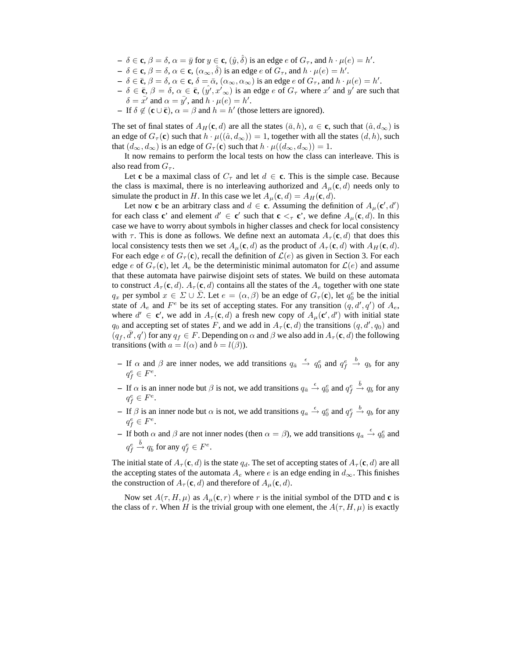- $-\delta \in \mathbf{c}, \beta = \delta, \alpha = \bar{y}$  for  $y \in \mathbf{c}, (\hat{y}, \hat{\delta})$  is an edge  $e$  of  $G_{\tau}$ , and  $h \cdot \mu(e) = h'.$
- $\delta \in \mathbf{c}, \beta = \delta, \alpha \in \mathbf{c}, (\alpha_{\infty}, \hat{\delta})$  is an edge  $e$  of  $G_{\tau}$ , and  $h \cdot \mu(e) = h'.$
- $-\delta \in \bar{\mathbf{c}}, \beta = \delta, \alpha \in \mathbf{c}, \delta = \bar{\alpha}, (\alpha_{\infty}, \alpha_{\infty})$  is an edge  $e$  of  $G_{\tau}$ , and  $h \cdot \mu(e) = h'.$
- $-\delta \in \bar{\mathbf{c}}, \beta = \delta, \alpha \in \bar{\mathbf{c}}, (\hat{y'}, x'_{\infty})$  is an edge e of  $G_{\tau}$  where x' and y' are such that  $\delta = \bar{x'}$  and  $\alpha = \bar{y'}$ , and  $h \cdot \mu(e) = h'$ .
- **–** If  $\delta \notin (\mathbf{c} \cup \bar{\mathbf{c}}), \alpha = \beta$  and  $h = h'$  (those letters are ignored).

The set of final states of  $A_H(c, d)$  are all the states  $(\bar{a}, h)$ ,  $a \in \mathbf{c}$ , such that  $(\hat{a}, d_{\infty})$  is an edge of  $G_{\tau}(\mathbf{c})$  such that  $h \cdot \mu((\hat{a}, d_{\infty})) = 1$ , together with all the states  $(d, h)$ , such that  $(d_{\infty}, d_{\infty})$  is an edge of  $G_{\tau}(\mathbf{c})$  such that  $h \cdot \mu((d_{\infty}, d_{\infty})) = 1$ .

It now remains to perform the local tests on how the class can interleave. This is also read from  $G_{\tau}$ .

Let **c** be a maximal class of  $C_{\tau}$  and let  $d \in \mathbf{c}$ . This is the simple case. Because the class is maximal, there is no interleaving authorized and  $A_\mu(\mathbf{c}, d)$  needs only to simulate the product in H. In this case we let  $A_\mu(\mathbf{c}, d) = A_H(\mathbf{c}, d)$ .

Let now **c** be an arbitrary class and  $d \in \mathbf{c}$ . Assuming the definition of  $A_{\mu}(\mathbf{c}', d')$ for each class **c**' and element  $d' \in \mathbf{c}'$  such that  $\mathbf{c} <_{\tau} \mathbf{c}'$ , we define  $A_{\mu}(\mathbf{c}, d)$ . In this case we have to worry about symbols in higher classes and check for local consistency with  $\tau$ . This is done as follows. We define next an automata  $A_{\tau}(\mathbf{c}, d)$  that does this local consistency tests then we set  $A_\mu(\mathbf{c}, d)$  as the product of  $A_\tau(\mathbf{c}, d)$  with  $A_H(\mathbf{c}, d)$ . For each edge e of  $G_{\tau}(\mathbf{c})$ , recall the definition of  $\mathcal{L}(e)$  as given in Section 3. For each edge e of  $G_{\tau}({\bf c})$ , let  $A_e$  be the deterministic minimal automaton for  $\mathcal{L}(e)$  and assume that these automata have pairwise disjoint sets of states. We build on these automata to construct  $A_{\tau}(\mathbf{c}, d)$ .  $A_{\tau}(\mathbf{c}, d)$  contains all the states of the  $A_e$  together with one state  $q_x$  per symbol  $x \in \Sigma \cup \overline{\Sigma}$ . Let  $e = (\alpha, \beta)$  be an edge of  $G_\tau(\mathbf{c})$ , let  $q_0^e$  be the initial state of  $A_e$  and  $F^e$  be its set of accepting states. For any transition  $(q, d', q')$  of  $A_e$ , where  $d' \in \mathbf{c}'$ , we add in  $A_{\tau}(\mathbf{c}, d)$  a fresh new copy of  $A_{\mu}(\mathbf{c}', d')$  with initial state  $q_0$  and accepting set of states F, and we add in  $A_\tau(\mathbf{c}, d)$  the transitions  $(q, d', q_0)$  and  $(q_f, \bar{d}', q')$  for any  $q_f \in F$ . Depending on  $\alpha$  and  $\beta$  we also add in  $A_\tau(\mathbf{c}, d)$  the following transitions (with  $a = l(\alpha)$  and  $b = l(\beta)$ ).

- **–** If  $\alpha$  and  $\beta$  are inner nodes, we add transitions  $q_{\bar{a}} \stackrel{\epsilon}{\rightarrow} q_0^e$  and  $q_f^e \stackrel{b}{\rightarrow} q_b$  for any  $q_f^e \in F^e$ .
- $-$  If  $\alpha$  is an inner node but  $\beta$  is not, we add transitions  $q_{\bar{a}} \stackrel{\epsilon}{\rightarrow} q_0^e$  and  $q_f^e \stackrel{\bar{b}}{\rightarrow} q_{\bar{b}}$  for any  $q_f^e \in F^e$ .
- **–** If  $\beta$  is an inner node but  $\alpha$  is not, we add transitions  $q_a \stackrel{\epsilon}{\rightarrow} q_0^e$  and  $q_f^e \stackrel{b}{\rightarrow} q_b$  for any  $q_f^e \in F^e$ .
- **–** If both  $\alpha$  and  $\beta$  are not inner nodes (then  $\alpha = \beta$ ), we add transitions  $q_a \stackrel{\epsilon}{\rightarrow} q_0^e$  and  $q_f^e \stackrel{\bar b}{\rightarrow} q_{\bar b}$  for any  $q_f^e \in F^e.$

The initial state of  $A_\tau(\mathbf{c}, d)$  is the state  $q_d$ . The set of accepting states of  $A_\tau(\mathbf{c}, d)$  are all the accepting states of the automata  $A_e$  where e is an edge ending in  $d_{\infty}$ . This finishes the construction of  $A_\tau(\mathbf{c}, d)$  and therefore of  $A_\mu(\mathbf{c}, d)$ .

Now set  $A(\tau, H, \mu)$  as  $A_{\mu}(\mathbf{c}, r)$  where r is the initial symbol of the DTD and **c** is the class of r. When H is the trivial group with one element, the  $A(\tau, H, \mu)$  is exactly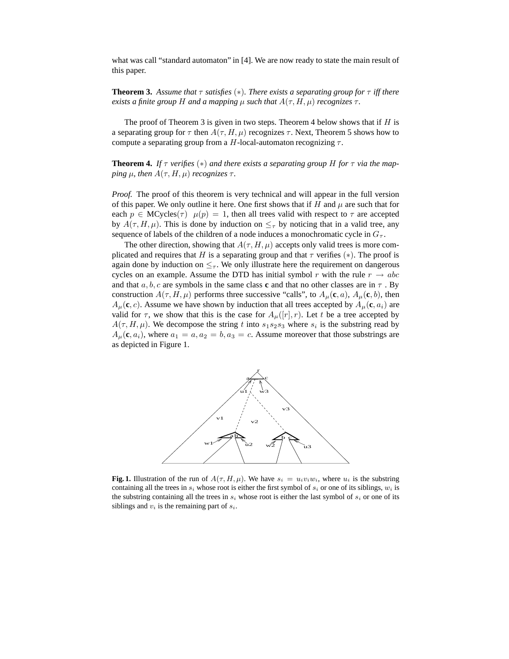what was call "standard automaton" in [4]. We are now ready to state the main result of this paper.

**Theorem 3.** *Assume that* τ *satisfies* (∗)*. There exists a separating group for* τ *iff there exists a finite group H and a mapping*  $\mu$  *such that*  $A(\tau, H, \mu)$  *recognizes*  $\tau$ *.* 

The proof of Theorem 3 is given in two steps. Theorem 4 below shows that if  $H$  is a separating group for  $\tau$  then  $A(\tau, H, \mu)$  recognizes  $\tau$ . Next, Theorem 5 shows how to compute a separating group from a H-local-automaton recognizing  $\tau$ .

**Theorem 4.** *If*  $\tau$  *verifies* (\*) *and there exists a separating group H for*  $\tau$  *via the mapping*  $\mu$ *, then*  $A(\tau, H, \mu)$  *recognizes*  $\tau$ *.* 

*Proof.* The proof of this theorem is very technical and will appear in the full version of this paper. We only outline it here. One first shows that if H and  $\mu$  are such that for each  $p \in \text{MCycles}(\tau)$   $\mu(p) = 1$ , then all trees valid with respect to  $\tau$  are accepted by  $A(\tau, H, \mu)$ . This is done by induction on  $\leq_{\tau}$  by noticing that in a valid tree, any sequence of labels of the children of a node induces a monochromatic cycle in  $G<sub>\tau</sub>$ .

The other direction, showing that  $A(\tau, H, \mu)$  accepts only valid trees is more complicated and requires that H is a separating group and that  $\tau$  verifies (\*). The proof is again done by induction on  $\leq_{\tau}$ . We only illustrate here the requirement on dangerous cycles on an example. Assume the DTD has initial symbol r with the rule  $r \rightarrow abc$ and that  $a, b, c$  are symbols in the same class **c** and that no other classes are in  $\tau$ . By construction  $A(\tau, H, \mu)$  performs three successive "calls", to  $A_{\mu}(\mathbf{c}, a)$ ,  $A_{\mu}(\mathbf{c}, b)$ , then  $A_\mu(\mathbf{c}, c)$ . Assume we have shown by induction that all trees accepted by  $A_\mu(\mathbf{c}, a_i)$  are valid for  $\tau$ , we show that this is the case for  $A_\mu([r], r)$ . Let t be a tree accepted by  $A(\tau, H, \mu)$ . We decompose the string t into  $s_1s_2s_3$  where  $s_i$  is the substring read by  $A_\mu(c, a_i)$ , where  $a_1 = a, a_2 = b, a_3 = c$ . Assume moreover that those substrings are as depicted in Figure 1.



**Fig. 1.** Illustration of the run of  $A(\tau, H, \mu)$ . We have  $s_i = u_i v_i w_i$ , where  $u_i$  is the substring containing all the trees in  $s_i$  whose root is either the first symbol of  $s_i$  or one of its siblings,  $w_i$  is the substring containing all the trees in  $s_i$  whose root is either the last symbol of  $s_i$  or one of its siblings and  $v_i$  is the remaining part of  $s_i$ .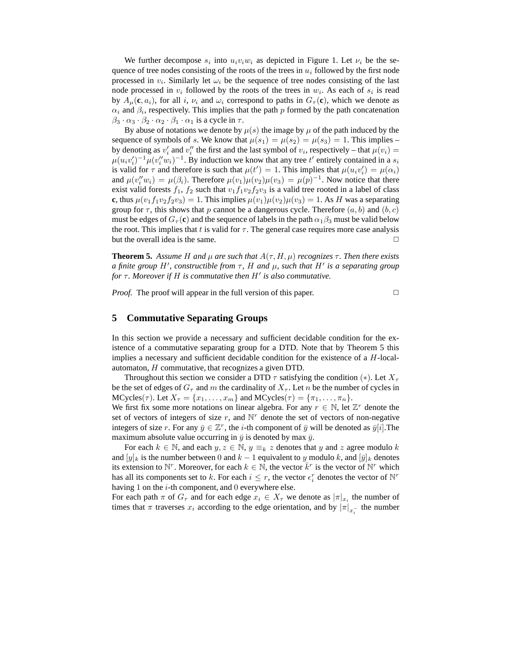We further decompose  $s_i$  into  $u_i v_i w_i$  as depicted in Figure 1. Let  $\nu_i$  be the sequence of tree nodes consisting of the roots of the trees in  $u_i$  followed by the first node processed in  $v_i$ . Similarly let  $\omega_i$  be the sequence of tree nodes consisting of the last node processed in  $v_i$  followed by the roots of the trees in  $w_i$ . As each of  $s_i$  is read by  $A_\mu(\mathbf{c}, a_i)$ , for all i,  $\nu_i$  and  $\omega_i$  correspond to paths in  $G_\tau(\mathbf{c})$ , which we denote as  $\alpha_i$  and  $\beta_i$ , respectively. This implies that the path p formed by the path concatenation  $\beta_3 \cdot \alpha_3 \cdot \beta_2 \cdot \alpha_2 \cdot \beta_1 \cdot \alpha_1$  is a cycle in  $\tau$ .

By abuse of notations we denote by  $\mu(s)$  the image by  $\mu$  of the path induced by the sequence of symbols of s. We know that  $\mu(s_1) = \mu(s_2) = \mu(s_3) = 1$ . This implies – by denoting as  $v'_i$  and  $v''_i$  the first and the last symbol of  $v_i$ , respectively – that  $\mu(v_i)$  =  $\mu(u_i v'_i)^{-1} \mu(v''_i w_i)^{-1}$ . By induction we know that any tree  $t'$  entirely contained in a  $s_i$ is valid for  $\tau$  and therefore is such that  $\mu(t') = 1$ . This implies that  $\mu(u_i v'_i) = \mu(\alpha_i)$ and  $\mu(v''_i w_i) = \mu(\beta_i)$ . Therefore  $\mu(v_1)\mu(v_2)\mu(v_3) = \mu(p)^{-1}$ . Now notice that there exist valid forests  $f_1$ ,  $f_2$  such that  $v_1 f_1 v_2 f_2 v_3$  is a valid tree rooted in a label of class **c**, thus  $\mu(v_1f_1v_2f_2v_3) = 1$ . This implies  $\mu(v_1)\mu(v_2)\mu(v_3) = 1$ . As H was a separating group for  $\tau$ , this shows that p cannot be a dangerous cycle. Therefore  $(a, b)$  and  $(b, c)$ must be edges of  $G_\tau(\mathbf{c})$  and the sequence of labels in the path  $\alpha_1\beta_3$  must be valid below the root. This implies that t is valid for  $\tau$ . The general case requires more case analysis but the overall idea is the same.

**Theorem 5.** Assume H and  $\mu$  are such that  $A(\tau, H, \mu)$  recognizes  $\tau$ . Then there exists *a finite group* H', *constructible from*  $\tau$ , H *and*  $\mu$ , *such that* H' *is a separating group for*  $τ$ *. Moreover if*  $H$  *is commutative then*  $H'$  *is also commutative.* 

*Proof.* The proof will appear in the full version of this paper.

#### **5 Commutative Separating Groups**

In this section we provide a necessary and sufficient decidable condition for the existence of a commutative separating group for a DTD. Note that by Theorem 5 this implies a necessary and sufficient decidable condition for the existence of a H-localautomaton, H commutative, that recognizes a given DTD.

Throughout this section we consider a DTD  $\tau$  satisfying the condition (\*). Let  $X_{\tau}$ be the set of edges of  $G_\tau$  and m the cardinality of  $X_\tau$ . Let n be the number of cycles in  $MCycles(\tau)$ . Let  $X_{\tau} = \{x_1, \ldots, x_m\}$  and  $MCycles(\tau) = \{\pi_1, \ldots, \pi_n\}.$ 

We first fix some more notations on linear algebra. For any  $r \in \mathbb{N}$ , let  $\mathbb{Z}^r$  denote the set of vectors of integers of size  $r$ , and  $N^r$  denote the set of vectors of non-negative integers of size r. For any  $\bar{y} \in \mathbb{Z}^r$ , the *i*-th component of  $\bar{y}$  will be denoted as  $\bar{y}[i]$ . The maximum absolute value occurring in  $\bar{y}$  is denoted by max  $\bar{y}$ .

For each  $k \in \mathbb{N}$ , and each  $y, z \in \mathbb{N}$ ,  $y \equiv_k z$  denotes that y and z agree modulo k and  $[y]_k$  is the number between 0 and  $k-1$  equivalent to y modulo k, and  $[\bar{y}]_k$  denotes its extension to N<sup>r</sup>. Moreover, for each  $k \in \mathbb{N}$ , the vector  $\overline{k}^r$  is the vector of N<sup>r</sup> which has all its components set to k. For each  $i \leq r$ , the vector  $\epsilon_i^r$  denotes the vector of  $\mathbb{N}^r$ having 1 on the  $i$ -th component, and 0 everywhere else.

For each path  $\pi$  of  $G_{\tau}$  and for each edge  $x_i \in X_{\tau}$  we denote as  $|\pi|_{x_i}$  the number of times that  $\pi$  traverses  $x_i$  according to the edge orientation, and by  $|\pi|_{x_i^-}$  the number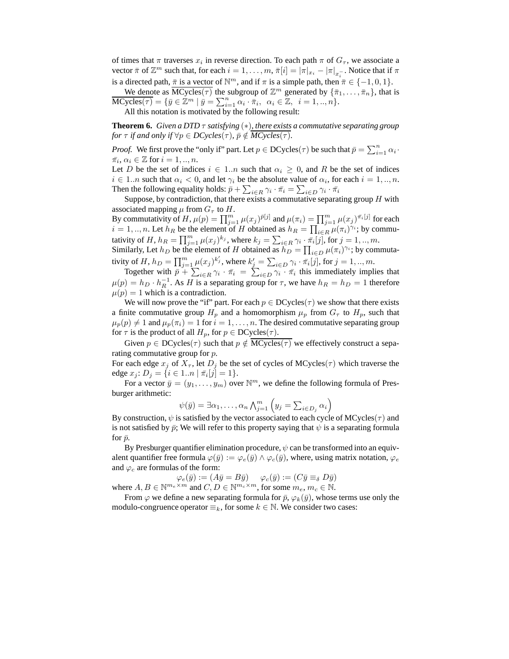of times that  $\pi$  traverses  $x_i$  in reverse direction. To each path  $\pi$  of  $G_\tau$ , we associate a vector  $\bar{\pi}$  of  $\mathbb{Z}^m$  such that, for each  $i = 1, \ldots, m$ ,  $\bar{\pi}[i] = |\pi|_{x_i} - |\pi|_{x_i}$ . Notice that if  $\pi$ is a directed path,  $\bar{\pi}$  is a vector of  $\mathbb{N}^m$ , and if  $\pi$  is a simple path, then  $\bar{\pi} \in \{-1, 0, 1\}$ .

We denote as  $\overline{MCycles(\tau)}$  the subgroup of  $\mathbb{Z}^m$  generated by  $\{\bar{\pi}_1, \ldots, \bar{\pi}_n\}$ , that is  $\overline{\text{MCycles}(\tau)} = \{ \bar{y} \in \mathbb{Z}^m \mid \bar{y} = \sum_{i=1}^n \alpha_i \cdot \bar{\pi}_i, \ \alpha_i \in \mathbb{Z}, \ i = 1, ..., n \}.$ 

All this notation is motivated by the following result:

**Theorem 6.** Given a DTD  $\tau$  satisfying  $(*)$ , there exists a commutative separating group *for*  $\tau$  *if and only if*  $\forall p \in DCycles(\tau)$ *,*  $\bar{p} \notin MCycles(\tau)$ *.* 

*Proof.* We first prove the "only if" part. Let  $p \in DCycles(\tau)$  be such that  $\bar{p} = \sum_{i=1}^{n} \alpha_i$ .  $\bar{\pi}_i, \alpha_i \in \mathbb{Z}$  for  $i = 1, ..., n$ .

Let D be the set of indices  $i \in 1..n$  such that  $\alpha_i \geq 0$ , and R be the set of indices  $i \in 1..n$  such that  $\alpha_i < 0$ , and let  $\gamma_i$  be the absolute value of  $\alpha_i$ , for each  $i = 1,..,n$ . Then the following equality holds:  $\bar{p} + \sum_{i \in R} \gamma_i \cdot \bar{\pi}_i = \sum_{i \in D} \gamma_i \cdot \bar{\pi}_i$ 

Suppose, by contradiction, that there exists a commutative separating group  $H$  with associated mapping  $\mu$  from  $G_{\tau}$  to  $H$ .

By commutativity of  $H$ ,  $\mu(p) = \prod_{j=1}^m \mu(x_j)^{\bar{p}[j]}$  and  $\mu(\pi_i) = \prod_{j=1}^m \mu(x_j)^{\bar{\pi_i}[j]}$  for each  $i = 1, ..., n$ . Let  $h_R$  be the element of H obtained as  $h_R = \prod_{i \in R} \mu(\pi_i)^{\gamma_i}$ ; by commutativity of H,  $h_R = \prod_{j=1}^m \mu(x_j)^{k_j}$ , where  $k_j = \sum_{i \in R} \gamma_i \cdot \overline{\pi}_i[j]$ , for  $j = 1, ..., m$ .

Similarly, Let  $h_D$  be the element of H obtained as  $\bar{h}_D = \prod_{i \in D} \mu(\pi_i)^{\gamma_i}$ ; by commutativity of H,  $h_D = \prod_{j=1}^m \mu(x_j)^{k'_j}$ , where  $k'_j = \sum_{i \in D} \gamma_i \cdot \overline{\pi}_i[j]$ , for  $j = 1, ..., m$ .

Together with  $\bar{p} + \sum_{i \in R} \gamma_i \cdot \bar{\pi}_i = \sum_{i \in D} \gamma_i \cdot \bar{\pi}_i$  this immediately implies that  $\mu(p) = h_D \cdot h_R^{-1}$ . As H is a separating group for  $\tau$ , we have  $h_R = h_D = 1$  therefore  $\mu(p) = 1$  which is a contradiction.

We will now prove the "if" part. For each  $p \in D\text{Cycles}(\tau)$  we show that there exists a finite commutative group  $H_p$  and a homomorphism  $\mu_p$  from  $G_\tau$  to  $H_p$ , such that  $\mu_p(p) \neq 1$  and  $\mu_p(\pi_i) = 1$  for  $i = 1, \dots, n$ . The desired commutative separating group for  $\tau$  is the product of all  $H_p$ , for  $p \in D\text{Cycles}(\tau)$ .

Given  $p \in DCycles(\tau)$  such that  $p \notin \overline{MCycles(\tau)}$  we effectively construct a separating commutative group for p.

For each edge  $x_j$  of  $X_\tau$ , let  $D_j$  be the set of cycles of MCycles( $\tau$ ) which traverse the edge  $x_j$ :  $D_j = \{i \in 1..n \mid \bar{\pi}_i[j] = 1\}.$ 

For a vector  $\bar{y} = (y_1, \dots, y_m)$  over  $\mathbb{N}^m$ , we define the following formula of Presburger arithmetic:

$$
\psi(\bar{y}) = \exists \alpha_1, \dots, \alpha_n \bigwedge_{j=1}^m \left( y_j = \sum_{i \in D_j} \alpha_i \right)
$$

By construction,  $\psi$  is satisfied by the vector associated to each cycle of MCycles( $\tau$ ) and is not satisfied by  $\bar{p}$ ; We will refer to this property saying that  $\psi$  is a separating formula for  $\bar{p}$ .

By Presburger quantifier elimination procedure,  $\psi$  can be transformed into an equivalent quantifier free formula  $\varphi(\bar{y}) := \varphi_e(\bar{y}) \wedge \varphi_e(\bar{y})$ , where, using matrix notation,  $\varphi_e$ and  $\varphi_c$  are formulas of the form:

$$
\varphi_e(\bar{y}) := (A\bar{y} = B\bar{y}) \qquad \varphi_c(\bar{y}) := (C\bar{y} \equiv_\delta D\bar{y})
$$

where  $A, B \in \mathbb{N}^{m_e \times m}$  and  $C, D \in \mathbb{N}^{m_c \times m}$ , for some  $m_e, m_c \in \mathbb{N}$ .

From  $\varphi$  we define a new separating formula for  $\bar{p}$ ,  $\varphi_k(\bar{y})$ , whose terms use only the modulo-congruence operator  $\equiv_k$ , for some  $k \in \mathbb{N}$ . We consider two cases: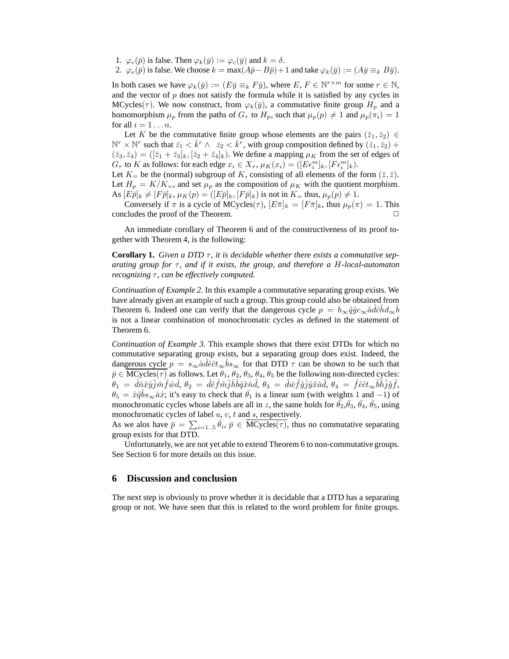- 1.  $\varphi_c(\bar{p})$  is false. Then  $\varphi_k(\bar{y}) := \varphi_c(\bar{y})$  and  $k = \delta$ .
- 2.  $\varphi_e(\bar{p})$  is false. We choose  $k = \max(A\bar{p} B\bar{p}) + 1$  and take  $\varphi_k(\bar{y}) := (A\bar{y} \equiv_k B\bar{y})$ .

In both cases we have  $\varphi_k(\bar{y}) := (E\bar{y} \equiv_k F\bar{y})$ , where  $E, F \in \mathbb{N}^{r \times m}$  for some  $r \in \mathbb{N}$ , and the vector of  $p$  does not satisfy the formula while it is satisfied by any cycles in MCycles( $\tau$ ). We now construct, from  $\varphi_k(\bar{y})$ , a commutative finite group  $H_p$  and a homomorphism  $\mu_p$  from the paths of  $G_\tau$  to  $H_p$ , such that  $\mu_p(p) \neq 1$  and  $\mu_p(\pi_i) = 1$ for all  $i = 1 \ldots n$ .

Let K be the commutative finite group whose elements are the pairs  $(\bar{z}_1, \bar{z}_2) \in$  $\mathbb{N}^r \times \mathbb{N}^r$  such that  $\bar{z_1} < \bar{k}^r \land \bar{z_2} < \bar{k}^r$ , with group composition defined by  $(\bar{z_1}, \bar{z_2})$  +  $(\bar{z}_3, \bar{z}_4) = ([\bar{z}_1 + \bar{z}_3]_k, [\bar{z}_2 + \bar{z}_4]_k)$ . We define a mapping  $\mu_K$  from the set of edges of  $G_{\tau}$  to K as follows: for each edge  $x_i \in X_{\tau}$ ,  $\mu_K(x_i) = ([E \epsilon_i^m]_k, [F \epsilon_i^m]_k)$ .

Let  $K_{\pm}$  be the (normal) subgroup of K, consisting of all elements of the form  $(\bar{z}, \bar{z})$ . Let  $H_p = K/K$ <sub>=</sub>, and set  $\mu_p$  as the composition of  $\mu_K$  with the quotient morphism. As  $[E\bar{p}]_k \neq [F\bar{p}]_k$ ,  $\mu_K(p) = ([E\bar{p}]_k, [F\bar{p}]_k)$  is not in  $K_{=}$  thus,  $\mu_p(p) \neq 1$ .

Conversely if  $\pi$  is a cycle of MCycles( $\tau$ ),  $[E\bar{\pi}]_k = [F\bar{\pi}]_k$ , thus  $\mu_p(\pi) = 1$ . This concludes the proof of the Theorem.  $\Box$ 

An immediate corollary of Theorem 6 and of the constructiveness of its proof together with Theorem 4, is the following:

**Corollary 1.** Given a DTD  $\tau$ , it is decidable whether there exists a commutative sep*arating group for* τ *, and if it exists, the group, and therefore a* H*-local-automaton recognizing*  $τ$ *, can be effectively computed.* 

*Continuation of Example 2.* In this example a commutative separating group exists. We have already given an example of such a group. This group could also be obtained from Theorem 6. Indeed one can verify that the dangerous cycle  $p = b_{\infty} \hat{q} \hat{g} c_{\infty} \hat{a} \hat{d} \hat{c} \hat{h} d_{\infty} \hat{b}$ is not a linear combination of monochromatic cycles as defined in the statement of Theorem 6.

*Continuation of Example 3.* This example shows that there exist DTDs for which no commutative separating group exists, but a separating group does exist. Indeed, the dangerous cycle  $p = s_{\infty} \hat{a} \hat{d} \hat{e} \hat{c} t_{\infty} \hat{b} s_{\infty}$  for that DTD  $\tau$  can be shown to be such that  $\bar{p} \in \text{MCycles}(\tau)$  as follows. Let  $\theta_1, \theta_2, \theta_3, \theta_4, \theta_5$  be the following non-directed cycles:  $\theta_1~=~\hat{d}\hat{n}\hat{x}\hat{y}\hat{j}\hat{m}\hat{f}\hat{w}\hat{d},\, \theta_2~=~\hat{d}\hat{e}\hat{f}\hat{m}\hat{j}\hat{h}\hat{b}\hat{q}\hat{x}\hat{n}\hat{d},\, \theta_3~=~\hat{d}\hat{w}\hat{f}\hat{g}\hat{j}\hat{y}\hat{x}\hat{a}\hat{d},\, \theta_4~=~\hat{f}\hat{e}\hat{c}t_\infty\hat{b}\hat{h}\hat{j}\hat{g}\hat{f},$  $\theta_5 = \hat{x}\hat{q}\hat{b}s_{\infty}\hat{a}\hat{x}$ ; it's easy to check that  $\bar{\theta_1}$  is a linear sum (with weights 1 and -1) of monochromatic cycles whose labels are all in z, the same holds for  $\bar{\theta_2}, \bar{\theta_3}, \bar{\theta_4}, \bar{\theta_5}$ , using monochromatic cycles of label  $u, v, t$  and  $s$ , respectively.

As we alos have  $\bar{p} = \sum_{i=1..5} \bar{\theta}_i$ ,  $\bar{p} \in \overline{\text{MCycles}(\tau)}$ , thus no commutative separating group exists for that DTD.

Unfortunately, we are not yet able to extend Theorem 6 to non-commutative groups. See Section 6 for more details on this issue.

#### **6 Discussion and conclusion**

The next step is obviously to prove whether it is decidable that a DTD has a separating group or not. We have seen that this is related to the word problem for finite groups.